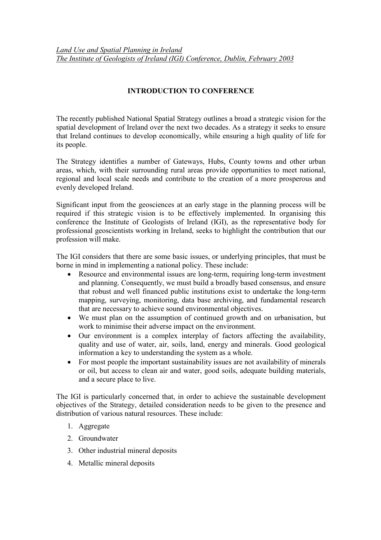## INTRODUCTION TO CONFERENCE

The recently published National Spatial Strategy outlines a broad a strategic vision for the spatial development of Ireland over the next two decades. As a strategy it seeks to ensure that Ireland continues to develop economically, while ensuring a high quality of life for its people.

The Strategy identifies a number of Gateways, Hubs, County towns and other urban areas, which, with their surrounding rural areas provide opportunities to meet national, regional and local scale needs and contribute to the creation of a more prosperous and evenly developed Ireland.

Significant input from the geosciences at an early stage in the planning process will be required if this strategic vision is to be effectively implemented. In organising this conference the Institute of Geologists of Ireland (IGI), as the representative body for professional geoscientists working in Ireland, seeks to highlight the contribution that our profession will make.

The IGI considers that there are some basic issues, or underlying principles, that must be borne in mind in implementing a national policy. These include:

- Resource and environmental issues are long-term, requiring long-term investment and planning. Consequently, we must build a broadly based consensus, and ensure that robust and well financed public institutions exist to undertake the long-term mapping, surveying, monitoring, data base archiving, and fundamental research that are necessary to achieve sound environmental objectives.
- We must plan on the assumption of continued growth and on urbanisation, but work to minimise their adverse impact on the environment.
- Our environment is a complex interplay of factors affecting the availability, quality and use of water, air, soils, land, energy and minerals. Good geological information a key to understanding the system as a whole.
- For most people the important sustainability issues are not availability of minerals or oil, but access to clean air and water, good soils, adequate building materials, and a secure place to live.

The IGI is particularly concerned that, in order to achieve the sustainable development objectives of the Strategy, detailed consideration needs to be given to the presence and distribution of various natural resources. These include:

- 1. Aggregate
- 2. Groundwater
- 3. Other industrial mineral deposits
- 4. Metallic mineral deposits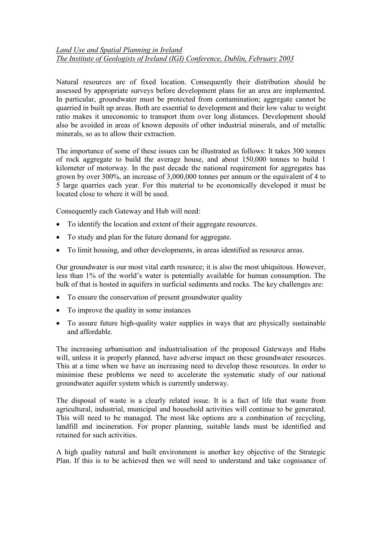## Land Use and Spatial Planning in Ireland The Institute of Geologists of Ireland (IGI) Conference, Dublin, February 2003

Natural resources are of fixed location. Consequently their distribution should be assessed by appropriate surveys before development plans for an area are implemented. In particular, groundwater must be protected from contamination; aggregate cannot be quarried in built up areas. Both are essential to development and their low value to weight ratio makes it uneconomic to transport them over long distances. Development should also be avoided in areas of known deposits of other industrial minerals, and of metallic minerals, so as to allow their extraction.

The importance of some of these issues can be illustrated as follows: It takes 300 tonnes of rock aggregate to build the average house, and about 150,000 tonnes to build 1 kilometer of motorway. In the past decade the national requirement for aggregates has grown by over 300%, an increase of 3,000,000 tonnes per annum or the equivalent of 4 to 5 large quarries each year. For this material to be economically developed it must be located close to where it will be used.

Consequently each Gateway and Hub will need:

- To identify the location and extent of their aggregate resources.
- To study and plan for the future demand for aggregate.
- To limit housing, and other developments, in areas identified as resource areas.

Our groundwater is our most vital earth resource; it is also the most ubiquitous. However, less than 1% of the world's water is potentially available for human consumption. The bulk of that is hosted in aquifers in surficial sediments and rocks. The key challenges are:

- To ensure the conservation of present groundwater quality
- To improve the quality in some instances
- To assure future high-quality water supplies in ways that are physically sustainable and affordable.

The increasing urbanisation and industrialisation of the proposed Gateways and Hubs will, unless it is properly planned, have adverse impact on these groundwater resources. This at a time when we have an increasing need to develop those resources. In order to minimise these problems we need to accelerate the systematic study of our national groundwater aquifer system which is currently underway.

The disposal of waste is a clearly related issue. It is a fact of life that waste from agricultural, industrial, municipal and household activities will continue to be generated. This will need to be managed. The most like options are a combination of recycling, landfill and incineration. For proper planning, suitable lands must be identified and retained for such activities.

A high quality natural and built environment is another key objective of the Strategic Plan. If this is to be achieved then we will need to understand and take cognisance of